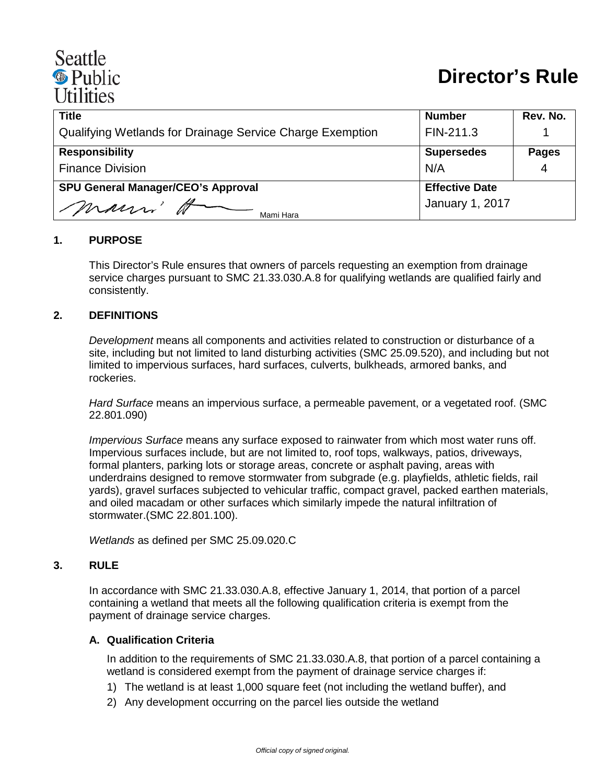# Seattle <sup><sup>®</sup> Public</sup> **Utilities**

| <b>Title</b>                                              | <b>Number</b>          | Rev. No.     |
|-----------------------------------------------------------|------------------------|--------------|
| Qualifying Wetlands for Drainage Service Charge Exemption | FIN-211.3              |              |
| <b>Responsibility</b>                                     | <b>Supersedes</b>      | <b>Pages</b> |
| <b>Finance Division</b>                                   | N/A                    | 4            |
| <b>SPU General Manager/CEO's Approval</b>                 | <b>Effective Date</b>  |              |
| mauri'<br>Mami Hara                                       | <b>January 1, 2017</b> |              |

## **1. PURPOSE**

This Director's Rule ensures that owners of parcels requesting an exemption from drainage service charges pursuant to SMC 21.33.030.A.8 for qualifying wetlands are qualified fairly and consistently.

#### **2. DEFINITIONS**

*Development* means all components and activities related to construction or disturbance of a site, including but not limited to land disturbing activities (SMC 25.09.520), and including but not limited to impervious surfaces, hard surfaces, culverts, bulkheads, armored banks, and rockeries.

*Hard Surface* means an impervious surface, a permeable pavement, or a vegetated roof. (SMC 22.801.090)

*Impervious Surface* means any surface exposed to rainwater from which most water runs off. Impervious surfaces include, but are not limited to, roof tops, walkways, patios, driveways, formal planters, parking lots or storage areas, concrete or asphalt paving, areas with underdrains designed to remove stormwater from subgrade (e.g. playfields, athletic fields, rail yards), gravel surfaces subjected to vehicular traffic, compact gravel, packed earthen materials, and oiled macadam or other surfaces which similarly impede the natural infiltration of stormwater.(SMC [22.801.100\)](http://clerk.ci.seattle.wa.us/%7Escripts/nph-brs.exe?d=CODE&s1=22.801.100.snum.&Sect5=CODE1&Sect6=HITOFF&l=20&p=1&u=/%7Epublic/code1.htm&r=1&f=G).

*Wetlands* as defined per SMC [25.09.020.](http://clerk.ci.seattle.wa.us/%7Escripts/nph-brs.exe?d=CODE&s1=25.09.020.snum.&Sect5=CODE1&Sect6=HITOFF&l=20&p=1&u=/%7Epublic/code1.htm&r=1&f=G)C

#### **3. RULE**

In accordance with SMC [21.33.030.A.](http://clerk.ci.seattle.wa.us/%7Escripts/nph-brs.exe?d=CODE&s1=21.33.030.snum.&Sect5=CODE1&Sect6=HITOFF&l=20&p=1&u=/%7Epublic/code1.htm&r=1&f=G)8, effective January 1, 2014, that portion of a parcel containing a wetland that meets all the following qualification criteria is exempt from the payment of drainage service charges.

#### **A. Qualification Criteria**

In addition to the requirements of SMC [21.33.030.A.](http://clerk.ci.seattle.wa.us/%7Escripts/nph-brs.exe?d=CODE&s1=21.33.030.snum.&Sect5=CODE1&Sect6=HITOFF&l=20&p=1&u=/%7Epublic/code1.htm&r=1&f=G)8, that portion of a parcel containing a wetland is considered exempt from the payment of drainage service charges if:

- 1) The wetland is at least 1,000 square feet (not including the wetland buffer), and
- 2) Any development occurring on the parcel lies outside the wetland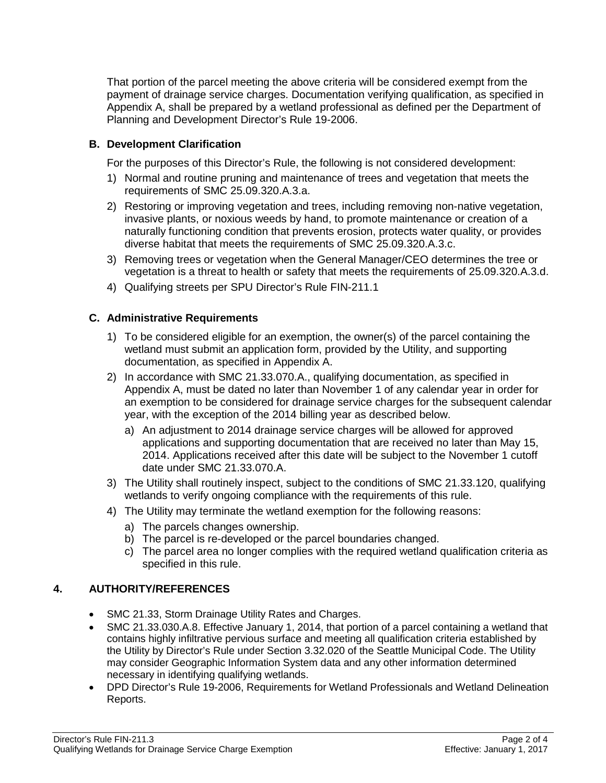That portion of the parcel meeting the above criteria will be considered exempt from the payment of drainage service charges. Documentation verifying qualification, as specified in Appendix A, shall be prepared by a wetland professional as defined per the Department of Planning and Development [Director's Rule 19-2006.](http://www.seattle.gov/dpd/codes/dr/DR2006-19.pdf)

# **B. Development Clarification**

For the purposes of this Director's Rule, the following is not considered development:

- 1) Normal and routine pruning and maintenance of trees and vegetation that meets the requirements of SMC [25.09.320.A.3.a.](http://clerk.ci.seattle.wa.us/%7Escripts/nph-brs.exe?d=CODE&s1=25.09.320.snum.&Sect5=CODE1&Sect6=HITOFF&l=20&p=1&u=/%7Epublic/code1.htm&r=1&f=G)
- 2) Restoring or improving vegetation and trees, including removing non-native vegetation, invasive plants, or noxious weeds by hand, to promote maintenance or creation of a naturally functioning condition that prevents erosion, protects water quality, or provides diverse habitat that meets the requirements of SMC [25.09.320.A.3.c.](http://clerk.ci.seattle.wa.us/%7Escripts/nph-brs.exe?d=CODE&s1=25.09.320.snum.&Sect5=CODE1&Sect6=HITOFF&l=20&p=1&u=/%7Epublic/code1.htm&r=1&f=G)
- 3) Removing trees or vegetation when the General Manager/CEO determines the tree or vegetation is a threat to health or safety that meets the requirements of 25.09.320.A.3.d.
- 4) Qualifying streets per SPU Director's Rule FIN-211.1

## **C. Administrative Requirements**

- 1) To be considered eligible for an exemption, the owner(s) of the parcel containing the wetland must submit an application form, provided by the Utility, and supporting documentation, as specified in Appendix A.
- 2) In accordance with SMC 21.33.070.A., qualifying documentation, as specified in Appendix A, must be dated no later than November 1 of any calendar year in order for an exemption to be considered for drainage service charges for the subsequent calendar year, with the exception of the 2014 billing year as described below.
	- a) An adjustment to 2014 drainage service charges will be allowed for approved applications and supporting documentation that are received no later than May 15, 2014. Applications received after this date will be subject to the November 1 cutoff date under SMC 21.33.070.A.
- 3) The Utility shall routinely inspect, subject to the conditions of SMC 21.33.120, qualifying wetlands to verify ongoing compliance with the requirements of this rule.
- 4) The Utility may terminate the wetland exemption for the following reasons:
	- a) The parcels changes ownership.
	- b) The parcel is re-developed or the parcel boundaries changed.
	- c) The parcel area no longer complies with the required wetland qualification criteria as specified in this rule.

## **4. AUTHORITY/REFERENCES**

- SMC [21.33,](http://clerk.ci.seattle.wa.us/%7Epublic/toc/21-33.htm) Storm Drainage Utility Rates and Charges.
- SMC [21.33.030.A.8.](http://clerk.ci.seattle.wa.us/%7Escripts/nph-brs.exe?d=CODE&s1=21.33.010.snum.&Sect5=CODE1&Sect6=HITOFF&l=20&p=1&u=/%7Epublic/code1.htm&r=1&f=G) Effective January 1, 2014, that portion of a parcel containing a wetland that contains highly infiltrative pervious surface and meeting all qualification criteria established by the Utility by Director's Rule under Section 3.32.020 of the Seattle Municipal Code. The Utility may consider Geographic Information System data and any other information determined necessary in identifying qualifying wetlands.
- DPD [Director's Rule 19-2006,](http://www.seattle.gov/dpd/codes/dr/DR2006-19.pdf) Requirements for Wetland Professionals and Wetland Delineation Reports.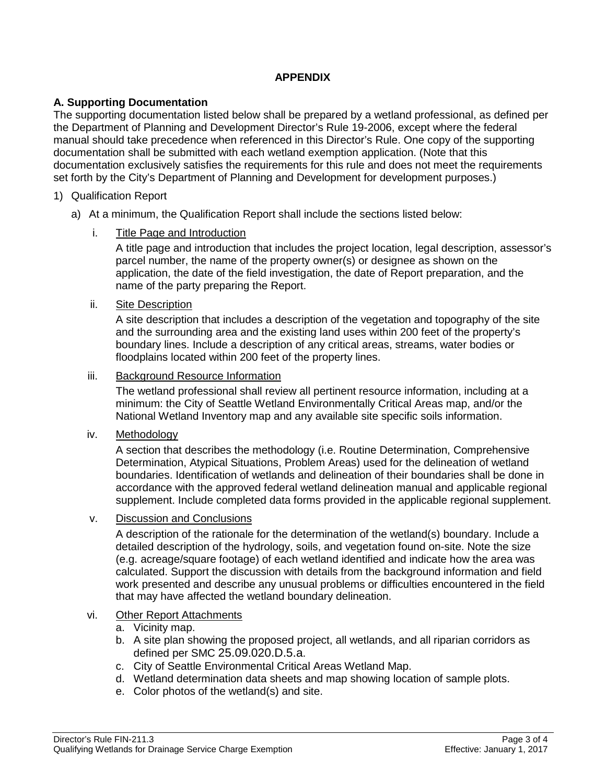# **APPENDIX**

## **A. Supporting Documentation**

The supporting documentation listed below shall be prepared by a wetland professional, as defined per the Department of Planning and Development [Director's Rule 19-2006,](http://www.seattle.gov/dpd/codes/dr/DR2006-19.pdf) except where the federal manual should take precedence when referenced in this Director's Rule. One copy of the supporting documentation shall be submitted with each wetland exemption application. (Note that this documentation exclusively satisfies the requirements for this rule and does not meet the requirements set forth by the City's Department of Planning and Development for development purposes.)

## 1) Qualification Report

a) At a minimum, the Qualification Report shall include the sections listed below:

## i. Title Page and Introduction

A title page and introduction that includes the project location, legal description, assessor's parcel number, the name of the property owner(s) or designee as shown on the application, the date of the field investigation, the date of Report preparation, and the name of the party preparing the Report.

## ii. Site Description

A site description that includes a description of the vegetation and topography of the site and the surrounding area and the existing land uses within 200 feet of the property's boundary lines. Include a description of any critical areas, streams, water bodies or floodplains located within 200 feet of the property lines.

#### iii. Background Resource Information

The wetland professional shall review all pertinent resource information, including at a minimum: the City of Seattle Wetland Environmentally Critical Areas map, and/or the National Wetland Inventory map and any available site specific soils information.

## iv. Methodology

A section that describes the methodology (i.e. Routine Determination, Comprehensive Determination, Atypical Situations, Problem Areas) used for the delineation of wetland boundaries. Identification of wetlands and delineation of their boundaries shall be done in accordance with the approved federal wetland delineation manual and applicable regional supplement. Include completed data forms provided in the applicable regional supplement.

## v. Discussion and Conclusions

A description of the rationale for the determination of the wetland(s) boundary. Include a detailed description of the hydrology, soils, and vegetation found on-site. Note the size (e.g. acreage/square footage) of each wetland identified and indicate how the area was calculated. Support the discussion with details from the background information and field work presented and describe any unusual problems or difficulties encountered in the field that may have affected the wetland boundary delineation.

## vi. Other Report Attachments

- a. Vicinity map.
- b. A site plan showing the proposed project, all wetlands, and all riparian corridors as defined per SMC [25.09.020.D.5.a.](http://clerk.ci.seattle.wa.us/%7Escripts/nph-brs.exe?d=CODE&s1=25.09.020.snum.&Sect5=CODE1&Sect6=HITOFF&l=20&p=1&u=/%7Epublic/code1.htm&r=1&f=G)
- c. City of Seattle Environmental Critical Areas Wetland Map.
- d. Wetland determination data sheets and map showing location of sample plots.
- e. Color photos of the wetland(s) and site.